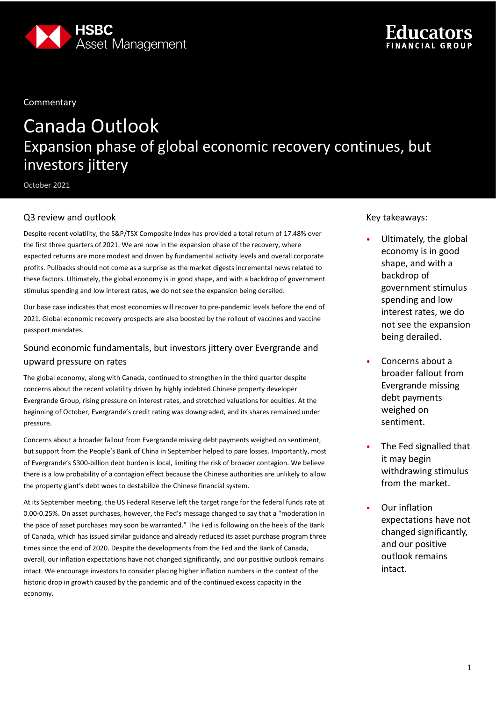

**Commentary** 

# Canada Outlook Expansion phase of global economic recovery continues, but investors jittery

October 2021

## Q3 review and outlook

Despite recent volatility, the S&P/TSX Composite Index has provided a total return of 17.48% over the first three quarters of 2021. We are now in the expansion phase of the recovery, where expected returns are more modest and driven by fundamental activity levels and overall corporate profits. Pullbacks should not come as a surprise as the market digests incremental news related to these factors. Ultimately, the global economy is in good shape, and with a backdrop of government stimulus spending and low interest rates, we do not see the expansion being derailed.

Our base case indicates that most economies will recover to pre-pandemic levels before the end of 2021. Global economic recovery prospects are also boosted by the rollout of vaccines and vaccine passport mandates.

## Sound economic fundamentals, but investors jittery over Evergrande and upward pressure on rates

The global economy, along with Canada, continued to strengthen in the third quarter despite concerns about the recent volatility driven by highly indebted Chinese property developer Evergrande Group, rising pressure on interest rates, and stretched valuations for equities. At the beginning of October, Evergrande's credit rating was downgraded, and its shares remained under pressure.

Concerns about a broader fallout from Evergrande missing debt payments weighed on sentiment, but support from the People's Bank of China in September helped to pare losses. Importantly, most of Evergrande's \$300-billion debt burden is local, limiting the risk of broader contagion. We believe there is a low probability of a contagion effect because the Chinese authorities are unlikely to allow the property giant's debt woes to destabilize the Chinese financial system.

At its September meeting, the US Federal Reserve left the target range for the federal funds rate at 0.00-0.25%. On asset purchases, however, the Fed's message changed to say that a "moderation in the pace of asset purchases may soon be warranted." The Fed is following on the heels of the Bank of Canada, which has issued similar guidance and already reduced its asset purchase program three times since the end of 2020. Despite the developments from the Fed and the Bank of Canada, overall, our inflation expectations have not changed significantly, and our positive outlook remains intact. We encourage investors to consider placing higher inflation numbers in the context of the historic drop in growth caused by the pandemic and of the continued excess capacity in the economy.

Key takeaways:

- Ultimately, the global economy is in good shape, and with a backdrop of government stimulus spending and low interest rates, we do not see the expansion being derailed.
- Concerns about a broader fallout from Evergrande missing debt payments weighed on sentiment.
- The Fed signalled that it may begin withdrawing stimulus from the market.
- Our inflation expectations have not changed significantly, and our positive outlook remains intact.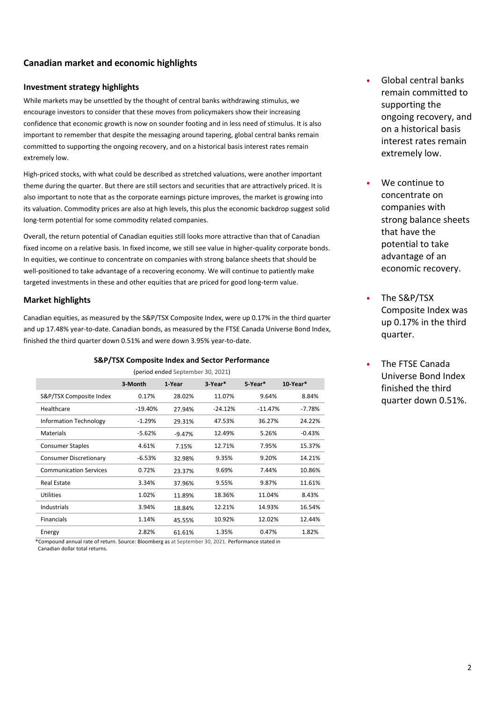## **Canadian market and economic highlights**

#### **Investment strategy highlights**

While markets may be unsettled by the thought of central banks withdrawing stimulus, we encourage investors to consider that these moves from policymakers show their increasing confidence that economic growth is now on sounder footing and in less need of stimulus. It is also important to remember that despite the messaging around tapering, global central banks remain committed to supporting the ongoing recovery, and on a historical basis interest rates remain extremely low.

High-priced stocks, with what could be described as stretched valuations, were another important theme during the quarter. But there are still sectors and securities that are attractively priced. It is also important to note that as the corporate earnings picture improves, the market is growing into its valuation. Commodity prices are also at high levels, this plus the economic backdrop suggest solid long-term potential for some commodity related companies.

Overall, the return potential of Canadian equities still looks more attractive than that of Canadian fixed income on a relative basis. In fixed income, we still see value in higher-quality corporate bonds. In equities, we continue to concentrate on companies with strong balance sheets that should be well-positioned to take advantage of a recovering economy. We will continue to patiently make targeted investments in these and other equities that are priced for good long-term value.

### **Market highlights**

Canadian equities, as measured by the S&P/TSX Composite Index, were up 0.17% in the third quarter and up 17.48% year-to-date. Canadian bonds, as measured by the FTSE Canada Universe Bond Index, finished the third quarter down 0.51% and were down 3.95% year-to-date.

#### **S&P/TSX Composite Index and Sector Performance**

|                               | 3-Month   | 1-Year   | 3 Year*   | 5 Year*   | 10-Year* |
|-------------------------------|-----------|----------|-----------|-----------|----------|
| S&P/TSX Composite Index       | 0.17%     | 28.02%   | 11.07%    | 9.64%     | 8.84%    |
| Healthcare                    | $-19.40%$ | 27.94%   | $-24.12%$ | $-11.47%$ | $-7.78%$ |
| <b>Information Technology</b> | $-1.29%$  | 29.31%   | 47.53%    | 36.27%    | 24.22%   |
| <b>Materials</b>              | $-5.62%$  | $-9.47%$ | 12.49%    | 5.26%     | $-0.43%$ |
| <b>Consumer Staples</b>       | 4.61%     | 7.15%    | 12.71%    | 7.95%     | 15.37%   |
| <b>Consumer Discretionary</b> | $-6.53%$  | 32.98%   | 9.35%     | 9.20%     | 14.21%   |
| <b>Communication Services</b> | 0.72%     | 23.37%   | 9.69%     | 7.44%     | 10.86%   |
| Real Estate                   | 3.34%     | 37.96%   | 9.55%     | 9.87%     | 11.61%   |
| Utilities                     | 1.02%     | 11.89%   | 18.36%    | 11.04%    | 8.43%    |
| Industrials                   | 3.94%     | 18.84%   | 12.21%    | 14.93%    | 16.54%   |
| <b>Financials</b>             | 1.14%     | 45.55%   | 10.92%    | 12.02%    | 12.44%   |
| Energy                        | 2.82%     | 61.61%   | 1.35%     | 0.47%     | 1.82%    |

(period ended September 30, 2021)

 \*Compound annual rate of return. Source: Bloomberg as at September 30, 2021. Performance stated in Canadian dollar total returns.

- Global central banks remain committed to supporting the ongoing recovery, and on a historical basis interest rates remain extremely low.
- We continue to concentrate on companies with strong balance sheets that have the potential to take advantage of an economic recovery.
- The S&P/TSX Composite Index was up 0.17% in the third quarter.
- The FTSE Canada Universe Bond Index finished the third quarter down 0.51%.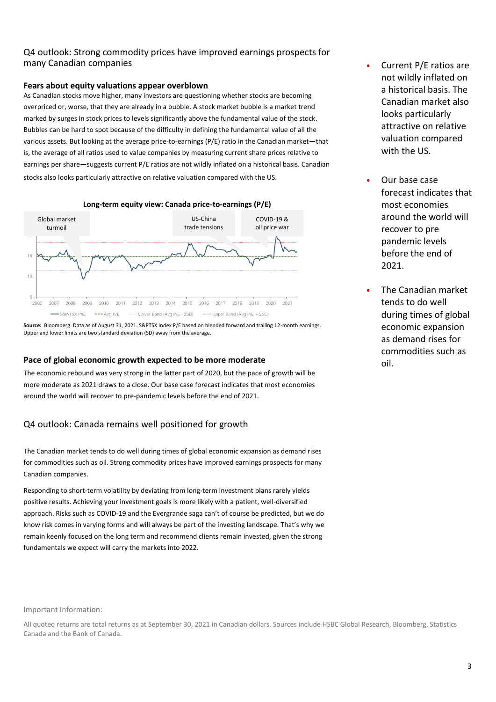## Q4 outlook: Strong commodity prices have improved earnings prospects for many Canadian companies

#### **Fears about equity valuations appear overblown**

As Canadian stocks move higher, many investors are questioning whether stocks are becoming overpriced or, worse, that they are already in a bubble. A stock market bubble is a market trend marked by surges in stock prices to levels significantly above the fundamental value of the stock. Bubbles can be hard to spot because of the difficulty in defining the fundamental value of all the various assets. But looking at the average price-to-earnings (P/E) ratio in the Canadian market—that is, the average of all ratios used to value companies by measuring current share prices relative to earnings per share—suggests current P/E ratios are not wildly inflated on a historical basis. Canadian stocks also looks particularly attractive on relative valuation compared with the US.



**Source:** Bloomberg. Data as of August 31, 2021. S&PTSX Index P/E based on blended forward and trailing 12-month earnings. Upper and lower limits are two standard deviation (SD) away from the average.

#### **Pace of global economic growth expected to be more moderate**

The economic rebound was very strong in the latter part of 2020, but the pace of growth will be more moderate as 2021 draws to a close. Our base case forecast indicates that most economies around the world will recover to pre-pandemic levels before the end of 2021.

## Q4 outlook: Canada remains well positioned for growth

The Canadian market tends to do well during times of global economic expansion as demand rises for commodities such as oil. Strong commodity prices have improved earnings prospects for many Canadian companies.

Responding to short-term volatility by deviating from long-term investment plans rarely yields positive results. Achieving your investment goals is more likely with a patient, well-diversified approach. Risks such as COVID-19 and the Evergrande saga can't of course be predicted, but we do know risk comes in varying forms and will always be part of the investing landscape. That's why we remain keenly focused on the long term and recommend clients remain invested, given the strong fundamentals we expect will carry the markets into 2022.

#### Important Information:

All quoted returns are total returns as at September 30, 2021 in Canadian dollars. Sources include HSBC Global Research, Bloomberg, Statistics Canada and the Bank of Canada.

- Current P/E ratios are not wildly inflated on a historical basis. The Canadian market also looks particularly attractive on relative valuation compared with the US.
- Our base case forecast indicates that most economies around the world will recover to pre pandemic levels before the end of 2021.
- The Canadian market tends to do well during times of global economic expansion as demand rises for commodities such as oil.